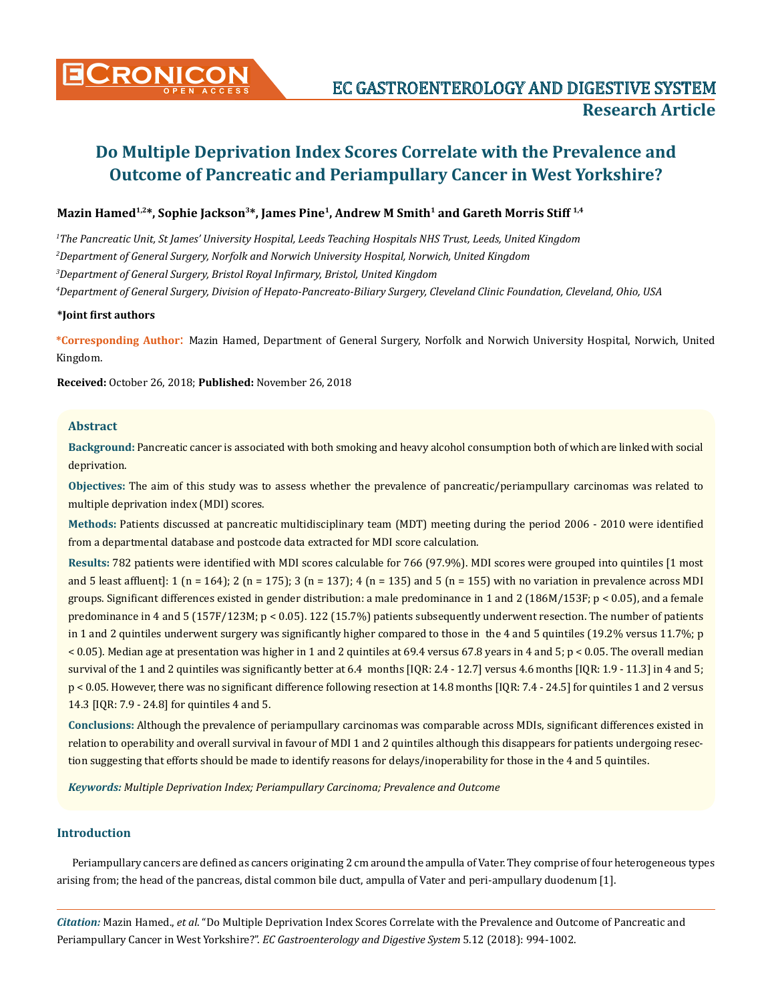

## Mazin Hamed<sup>1,2\*</sup>, Sophie Jackson<sup>3\*</sup>, James Pine<sup>1</sup>, Andrew M Smith<sup>1</sup> and Gareth Morris Stiff <sup>1,4</sup>

 *The Pancreatic Unit, St James' University Hospital, Leeds Teaching Hospitals NHS Trust, Leeds, United Kingdom Department of General Surgery, Norfolk and Norwich University Hospital, Norwich, United Kingdom Department of General Surgery, Bristol Royal Infirmary, Bristol, United Kingdom Department of General Surgery, Division of Hepato-Pancreato-Biliary Surgery, Cleveland Clinic Foundation, Cleveland, Ohio, USA*

### **\*Joint first authors**

**\*Corresponding Author**: Mazin Hamed, Department of General Surgery, Norfolk and Norwich University Hospital, Norwich, United Kingdom.

**Received:** October 26, 2018; **Published:** November 26, 2018

### **Abstract**

**Background:** Pancreatic cancer is associated with both smoking and heavy alcohol consumption both of which are linked with social deprivation.

**Objectives:** The aim of this study was to assess whether the prevalence of pancreatic/periampullary carcinomas was related to multiple deprivation index (MDI) scores.

**Methods:** Patients discussed at pancreatic multidisciplinary team (MDT) meeting during the period 2006 - 2010 were identified from a departmental database and postcode data extracted for MDI score calculation.

**Results:** 782 patients were identified with MDI scores calculable for 766 (97.9%). MDI scores were grouped into quintiles [1 most and 5 least affluent]: 1 (n = 164); 2 (n = 175); 3 (n = 137); 4 (n = 135) and 5 (n = 155) with no variation in prevalence across MDI groups. Significant differences existed in gender distribution: a male predominance in 1 and 2 (186M/153F; p < 0.05), and a female predominance in 4 and 5 (157F/123M; p < 0.05). 122 (15.7%) patients subsequently underwent resection. The number of patients in 1 and 2 quintiles underwent surgery was significantly higher compared to those in the 4 and 5 quintiles (19.2% versus 11.7%; p < 0.05). Median age at presentation was higher in 1 and 2 quintiles at 69.4 versus 67.8 years in 4 and 5; p < 0.05. The overall median survival of the 1 and 2 quintiles was significantly better at 6.4 months [IQR: 2.4 - 12.7] versus 4.6 months [IQR: 1.9 - 11.3] in 4 and 5; p < 0.05. However, there was no significant difference following resection at 14.8 months [IQR: 7.4 - 24.5] for quintiles 1 and 2 versus 14.3 [IQR: 7.9 - 24.8] for quintiles 4 and 5.

**Conclusions:** Although the prevalence of periampullary carcinomas was comparable across MDIs, significant differences existed in relation to operability and overall survival in favour of MDI 1 and 2 quintiles although this disappears for patients undergoing resection suggesting that efforts should be made to identify reasons for delays/inoperability for those in the 4 and 5 quintiles.

*Keywords: Multiple Deprivation Index; Periampullary Carcinoma; Prevalence and Outcome*

# **Introduction**

Periampullary cancers are defined as cancers originating 2 cm around the ampulla of Vater. They comprise of four heterogeneous types arising from; the head of the pancreas, distal common bile duct, ampulla of Vater and peri-ampullary duodenum [1].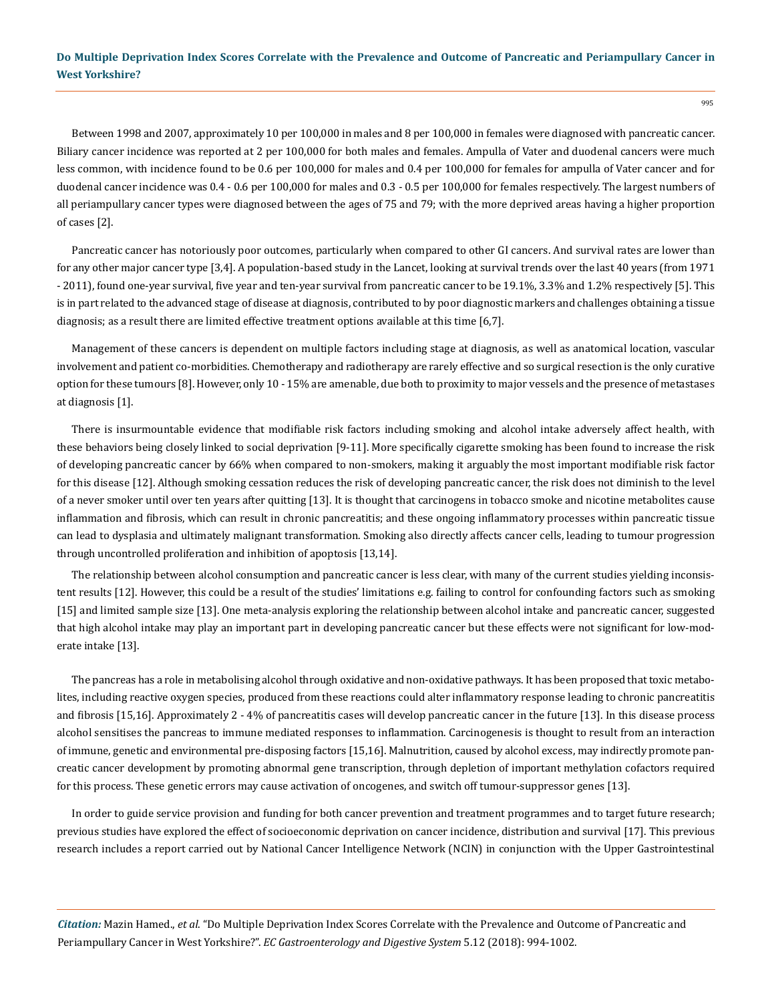995

Between 1998 and 2007, approximately 10 per 100,000 in males and 8 per 100,000 in females were diagnosed with pancreatic cancer. Biliary cancer incidence was reported at 2 per 100,000 for both males and females. Ampulla of Vater and duodenal cancers were much less common, with incidence found to be 0.6 per 100,000 for males and 0.4 per 100,000 for females for ampulla of Vater cancer and for duodenal cancer incidence was 0.4 - 0.6 per 100,000 for males and 0.3 - 0.5 per 100,000 for females respectively. The largest numbers of all periampullary cancer types were diagnosed between the ages of 75 and 79; with the more deprived areas having a higher proportion of cases [2].

Pancreatic cancer has notoriously poor outcomes, particularly when compared to other GI cancers. And survival rates are lower than for any other major cancer type [3,4]. A population-based study in the Lancet, looking at survival trends over the last 40 years (from 1971 - 2011), found one-year survival, five year and ten-year survival from pancreatic cancer to be 19.1%, 3.3% and 1.2% respectively [5]. This is in part related to the advanced stage of disease at diagnosis, contributed to by poor diagnostic markers and challenges obtaining a tissue diagnosis; as a result there are limited effective treatment options available at this time [6,7].

Management of these cancers is dependent on multiple factors including stage at diagnosis, as well as anatomical location, vascular involvement and patient co-morbidities. Chemotherapy and radiotherapy are rarely effective and so surgical resection is the only curative option for these tumours [8]. However, only 10 - 15% are amenable, due both to proximity to major vessels and the presence of metastases at diagnosis [1].

There is insurmountable evidence that modifiable risk factors including smoking and alcohol intake adversely affect health, with these behaviors being closely linked to social deprivation [9-11]. More specifically cigarette smoking has been found to increase the risk of developing pancreatic cancer by 66% when compared to non-smokers, making it arguably the most important modifiable risk factor for this disease [12]. Although smoking cessation reduces the risk of developing pancreatic cancer, the risk does not diminish to the level of a never smoker until over ten years after quitting [13]. It is thought that carcinogens in tobacco smoke and nicotine metabolites cause inflammation and fibrosis, which can result in chronic pancreatitis; and these ongoing inflammatory processes within pancreatic tissue can lead to dysplasia and ultimately malignant transformation. Smoking also directly affects cancer cells, leading to tumour progression through uncontrolled proliferation and inhibition of apoptosis [13,14].

The relationship between alcohol consumption and pancreatic cancer is less clear, with many of the current studies yielding inconsistent results [12]. However, this could be a result of the studies' limitations e.g. failing to control for confounding factors such as smoking [15] and limited sample size [13]. One meta-analysis exploring the relationship between alcohol intake and pancreatic cancer, suggested that high alcohol intake may play an important part in developing pancreatic cancer but these effects were not significant for low-moderate intake [13].

The pancreas has a role in metabolising alcohol through oxidative and non-oxidative pathways. It has been proposed that toxic metabolites, including reactive oxygen species, produced from these reactions could alter inflammatory response leading to chronic pancreatitis and fibrosis [15,16]. Approximately 2 - 4% of pancreatitis cases will develop pancreatic cancer in the future [13]. In this disease process alcohol sensitises the pancreas to immune mediated responses to inflammation. Carcinogenesis is thought to result from an interaction of immune, genetic and environmental pre-disposing factors [15,16]. Malnutrition, caused by alcohol excess, may indirectly promote pancreatic cancer development by promoting abnormal gene transcription, through depletion of important methylation cofactors required for this process. These genetic errors may cause activation of oncogenes, and switch off tumour-suppressor genes [13].

In order to guide service provision and funding for both cancer prevention and treatment programmes and to target future research; previous studies have explored the effect of socioeconomic deprivation on cancer incidence, distribution and survival [17]. This previous research includes a report carried out by National Cancer Intelligence Network (NCIN) in conjunction with the Upper Gastrointestinal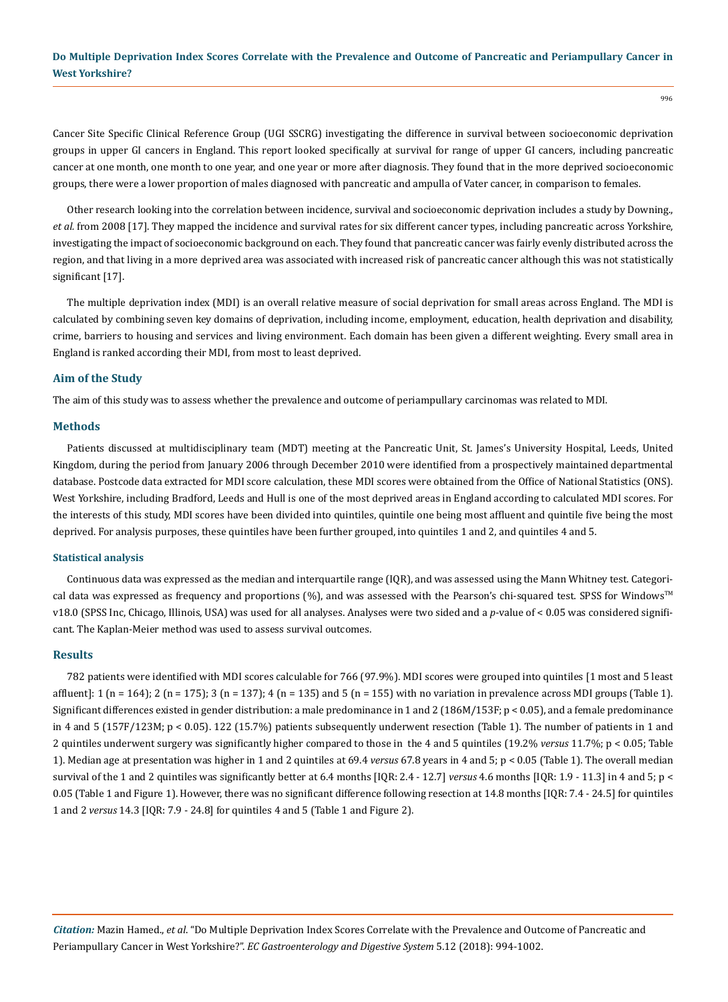Cancer Site Specific Clinical Reference Group (UGI SSCRG) investigating the difference in survival between socioeconomic deprivation groups in upper GI cancers in England. This report looked specifically at survival for range of upper GI cancers, including pancreatic cancer at one month, one month to one year, and one year or more after diagnosis. They found that in the more deprived socioeconomic groups, there were a lower proportion of males diagnosed with pancreatic and ampulla of Vater cancer, in comparison to females.

Other research looking into the correlation between incidence, survival and socioeconomic deprivation includes a study by Downing., *et al.* from 2008 [17]. They mapped the incidence and survival rates for six different cancer types, including pancreatic across Yorkshire, investigating the impact of socioeconomic background on each. They found that pancreatic cancer was fairly evenly distributed across the region, and that living in a more deprived area was associated with increased risk of pancreatic cancer although this was not statistically significant [17].

The multiple deprivation index (MDI) is an overall relative measure of social deprivation for small areas across England. The MDI is calculated by combining seven key domains of deprivation, including income, employment, education, health deprivation and disability, crime, barriers to housing and services and living environment. Each domain has been given a different weighting. Every small area in England is ranked according their MDI, from most to least deprived.

### **Aim of the Study**

The aim of this study was to assess whether the prevalence and outcome of periampullary carcinomas was related to MDI.

#### **Methods**

Patients discussed at multidisciplinary team (MDT) meeting at the Pancreatic Unit, St. James's University Hospital, Leeds, United Kingdom, during the period from January 2006 through December 2010 were identified from a prospectively maintained departmental database. Postcode data extracted for MDI score calculation, these MDI scores were obtained from the Office of National Statistics (ONS). West Yorkshire, including Bradford, Leeds and Hull is one of the most deprived areas in England according to calculated MDI scores. For the interests of this study, MDI scores have been divided into quintiles, quintile one being most affluent and quintile five being the most deprived. For analysis purposes, these quintiles have been further grouped, into quintiles 1 and 2, and quintiles 4 and 5.

### **Statistical analysis**

Continuous data was expressed as the median and interquartile range (IQR), and was assessed using the Mann Whitney test. Categorical data was expressed as frequency and proportions (%), and was assessed with the Pearson's chi-squared test. SPSS for Windows™ v18.0 (SPSS Inc, Chicago, Illinois, USA) was used for all analyses. Analyses were two sided and a *p*-value of < 0.05 was considered significant. The Kaplan-Meier method was used to assess survival outcomes.

#### **Results**

782 patients were identified with MDI scores calculable for 766 (97.9%). MDI scores were grouped into quintiles [1 most and 5 least affluent]:  $1$  (n = 164);  $2$  (n = 175);  $3$  (n = 137);  $4$  (n = 135) and 5 (n = 155) with no variation in prevalence across MDI groups (Table 1). Significant differences existed in gender distribution: a male predominance in 1 and 2 (186M/153F; p < 0.05), and a female predominance in 4 and 5 (157F/123M; p < 0.05). 122 (15.7%) patients subsequently underwent resection (Table 1). The number of patients in 1 and 2 quintiles underwent surgery was significantly higher compared to those in the 4 and 5 quintiles (19.2% *versus* 11.7%; p < 0.05; Table 1). Median age at presentation was higher in 1 and 2 quintiles at 69.4 *versus* 67.8 years in 4 and 5; p < 0.05 (Table 1). The overall median survival of the 1 and 2 quintiles was significantly better at 6.4 months [IQR: 2.4 - 12.7] *versus* 4.6 months [IQR: 1.9 - 11.3] in 4 and 5; p < 0.05 (Table 1 and Figure 1). However, there was no significant difference following resection at 14.8 months [IQR: 7.4 - 24.5] for quintiles 1 and 2 *versus* 14.3 [IQR: 7.9 - 24.8] for quintiles 4 and 5 (Table 1 and Figure 2).

*Citation:* Mazin Hamed., *et al*. "Do Multiple Deprivation Index Scores Correlate with the Prevalence and Outcome of Pancreatic and Periampullary Cancer in West Yorkshire?". *EC Gastroenterology and Digestive System* 5.12 (2018): 994-1002.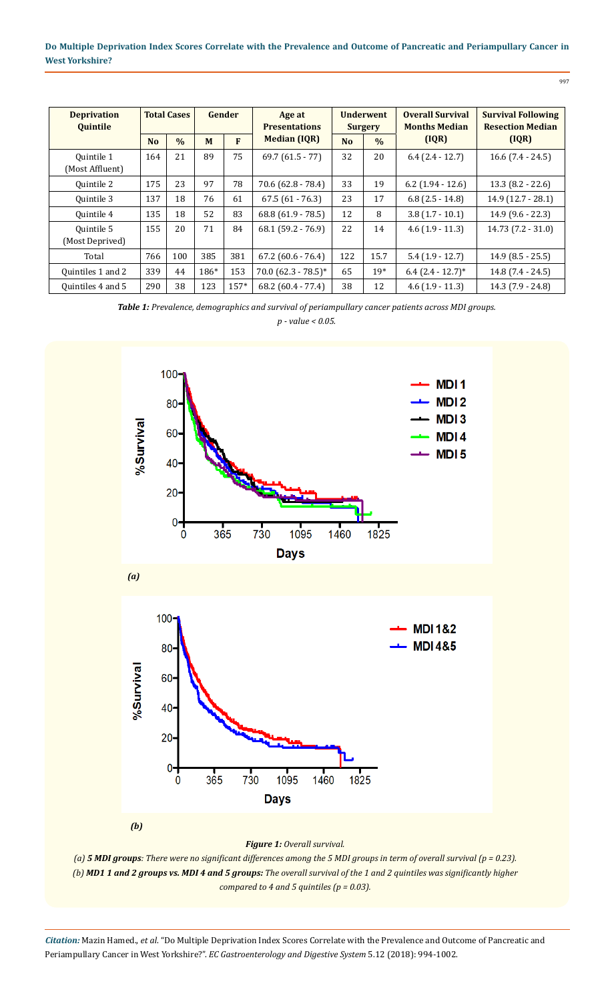| <b>Deprivation</b><br><b>Ouintile</b> | <b>Total Cases</b> |               | Gender |        | Age at<br><b>Presentations</b> | <b>Underwent</b><br><b>Surgery</b> |               | <b>Overall Survival</b><br><b>Months Median</b> | <b>Survival Following</b><br><b>Resection Median</b> |
|---------------------------------------|--------------------|---------------|--------|--------|--------------------------------|------------------------------------|---------------|-------------------------------------------------|------------------------------------------------------|
|                                       | N <sub>o</sub>     | $\frac{0}{0}$ | M      | F      | <b>Median (IQR)</b>            | N <sub>0</sub>                     | $\frac{0}{0}$ | (IQR)                                           | (IQR)                                                |
| Ouintile 1<br>(Most Affluent)         | 164                | 21            | 89     | 75     | $69.7(61.5 - 77)$              | 32                                 | 20            | $6.4(2.4-12.7)$                                 | $16.6$ (7.4 - 24.5)                                  |
| <b>Ouintile 2</b>                     | 175                | 23            | 97     | 78     | $70.6$ (62.8 - 78.4)           | 33                                 | 19            | $6.2$ (1.94 - 12.6)                             | $13.3(8.2 - 22.6)$                                   |
| Ouintile 3                            | 137                | 18            | 76     | 61     | $67.5(61 - 76.3)$              | 23                                 | 17            | $6.8$ (2.5 - 14.8)                              | 14.9 (12.7 - 28.1)                                   |
| Quintile 4                            | 135                | 18            | 52     | 83     | $68.8(61.9 - 78.5)$            | 12                                 | 8             | $3.8(1.7 - 10.1)$                               | $14.9(9.6 - 22.3)$                                   |
| <b>Ouintile 5</b><br>(Most Deprived)  | 155                | 20            | 71     | 84     | $68.1$ (59.2 - 76.9)           | 22                                 | 14            | $4.6$ (1.9 - 11.3)                              | $14.73(7.2 - 31.0)$                                  |
| Total                                 | 766                | 100           | 385    | 381    | $67.2$ (60.6 - 76.4)           | 122                                | 15.7          | $5.4(1.9 - 12.7)$                               | $14.9(8.5 - 25.5)$                                   |
| Quintiles 1 and 2                     | 339                | 44            | 186*   | 153    | $70.0 (62.3 - 78.5)^*$         | 65                                 | $19*$         | $6.4$ (2.4 - 12.7)*                             | $14.8(7.4 - 24.5)$                                   |
| Quintiles 4 and 5                     | 290                | 38            | 123    | $157*$ | $68.2$ (60.4 - 77.4)           | 38                                 | 12            | $4.6$ (1.9 - 11.3)                              | $14.3(7.9 - 24.8)$                                   |

*Table 1: Prevalence, demographics and survival of periampullary cancer patients across MDI groups. p - value < 0.05.*



*Figure 1: Overall survival.* 

*(a) 5 MDI groups: There were no significant differences among the 5 MDI groups in term of overall survival (p = 0.23). (b) MD1 1 and 2 groups vs. MDI 4 and 5 groups: The overall survival of the 1 and 2 quintiles was significantly higher compared to 4 and 5 quintiles (p = 0.03).*

*Citation:* Mazin Hamed., *et al*. "Do Multiple Deprivation Index Scores Correlate with the Prevalence and Outcome of Pancreatic and Periampullary Cancer in West Yorkshire?". *EC Gastroenterology and Digestive System* 5.12 (2018): 994-1002.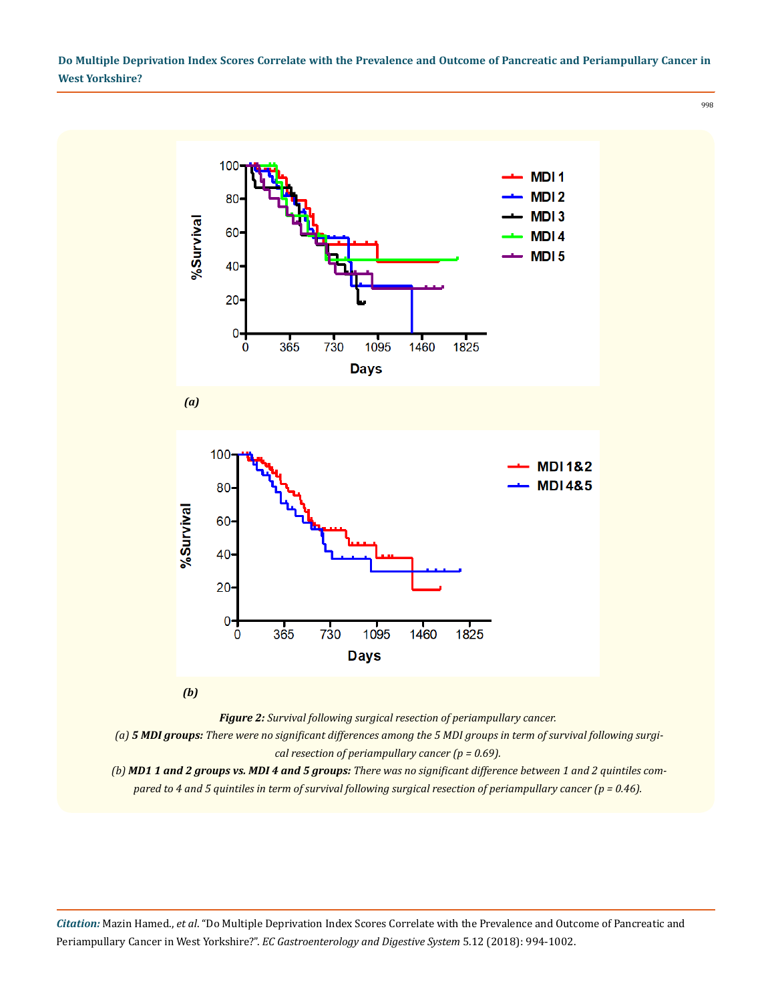998



*Figure 2: Survival following surgical resection of periampullary cancer.*

 *(a) 5 MDI groups: There were no significant differences among the 5 MDI groups in term of survival following surgical resection of periampullary cancer (p = 0.69).* 

 *(b) MD1 1 and 2 groups vs. MDI 4 and 5 groups: There was no significant difference between 1 and 2 quintiles compared to 4 and 5 quintiles in term of survival following surgical resection of periampullary cancer (p = 0.46).*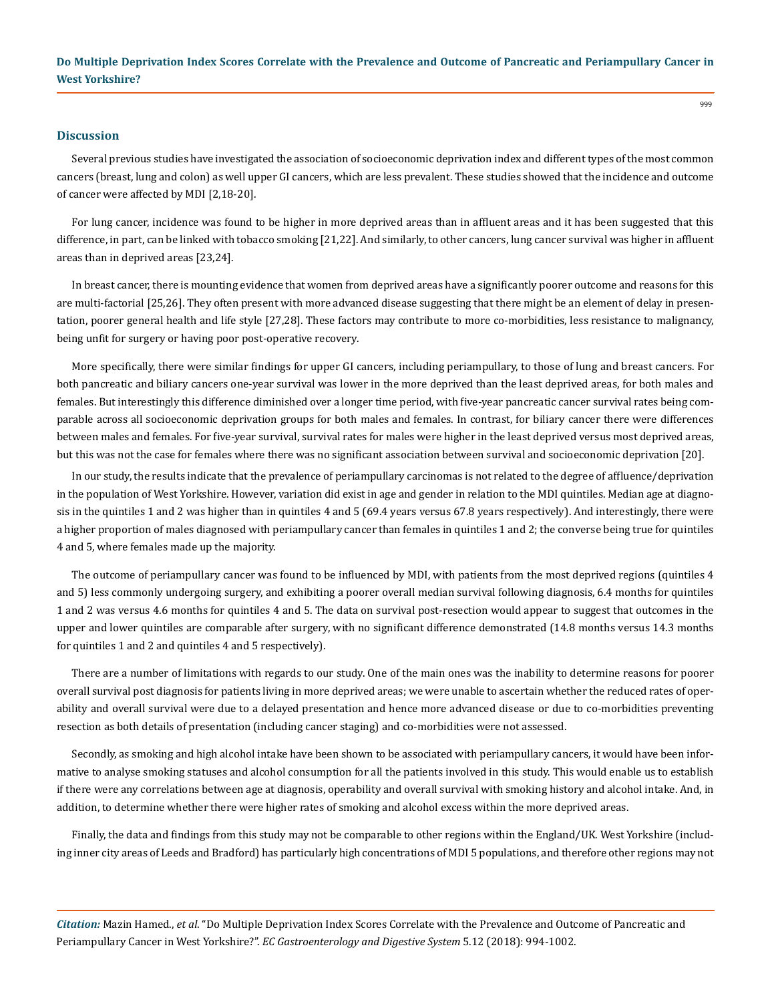### **Discussion**

Several previous studies have investigated the association of socioeconomic deprivation index and different types of the most common cancers (breast, lung and colon) as well upper GI cancers, which are less prevalent. These studies showed that the incidence and outcome of cancer were affected by MDI [2,18-20].

For lung cancer, incidence was found to be higher in more deprived areas than in affluent areas and it has been suggested that this difference, in part, can be linked with tobacco smoking [21,22]. And similarly, to other cancers, lung cancer survival was higher in affluent areas than in deprived areas [23,24].

In breast cancer, there is mounting evidence that women from deprived areas have a significantly poorer outcome and reasons for this are multi-factorial [25,26]. They often present with more advanced disease suggesting that there might be an element of delay in presentation, poorer general health and life style [27,28]. These factors may contribute to more co-morbidities, less resistance to malignancy, being unfit for surgery or having poor post-operative recovery.

More specifically, there were similar findings for upper GI cancers, including periampullary, to those of lung and breast cancers. For both pancreatic and biliary cancers one-year survival was lower in the more deprived than the least deprived areas, for both males and females. But interestingly this difference diminished over a longer time period, with five-year pancreatic cancer survival rates being comparable across all socioeconomic deprivation groups for both males and females. In contrast, for biliary cancer there were differences between males and females. For five-year survival, survival rates for males were higher in the least deprived versus most deprived areas, but this was not the case for females where there was no significant association between survival and socioeconomic deprivation [20].

In our study, the results indicate that the prevalence of periampullary carcinomas is not related to the degree of affluence/deprivation in the population of West Yorkshire. However, variation did exist in age and gender in relation to the MDI quintiles. Median age at diagnosis in the quintiles 1 and 2 was higher than in quintiles 4 and 5 (69.4 years versus 67.8 years respectively). And interestingly, there were a higher proportion of males diagnosed with periampullary cancer than females in quintiles 1 and 2; the converse being true for quintiles 4 and 5, where females made up the majority.

The outcome of periampullary cancer was found to be influenced by MDI, with patients from the most deprived regions (quintiles 4 and 5) less commonly undergoing surgery, and exhibiting a poorer overall median survival following diagnosis, 6.4 months for quintiles 1 and 2 was versus 4.6 months for quintiles 4 and 5. The data on survival post-resection would appear to suggest that outcomes in the upper and lower quintiles are comparable after surgery, with no significant difference demonstrated (14.8 months versus 14.3 months for quintiles 1 and 2 and quintiles 4 and 5 respectively).

There are a number of limitations with regards to our study. One of the main ones was the inability to determine reasons for poorer overall survival post diagnosis for patients living in more deprived areas; we were unable to ascertain whether the reduced rates of operability and overall survival were due to a delayed presentation and hence more advanced disease or due to co-morbidities preventing resection as both details of presentation (including cancer staging) and co-morbidities were not assessed.

Secondly, as smoking and high alcohol intake have been shown to be associated with periampullary cancers, it would have been informative to analyse smoking statuses and alcohol consumption for all the patients involved in this study. This would enable us to establish if there were any correlations between age at diagnosis, operability and overall survival with smoking history and alcohol intake. And, in addition, to determine whether there were higher rates of smoking and alcohol excess within the more deprived areas.

Finally, the data and findings from this study may not be comparable to other regions within the England/UK. West Yorkshire (including inner city areas of Leeds and Bradford) has particularly high concentrations of MDI 5 populations, and therefore other regions may not

*Citation:* Mazin Hamed., *et al*. "Do Multiple Deprivation Index Scores Correlate with the Prevalence and Outcome of Pancreatic and Periampullary Cancer in West Yorkshire?". *EC Gastroenterology and Digestive System* 5.12 (2018): 994-1002.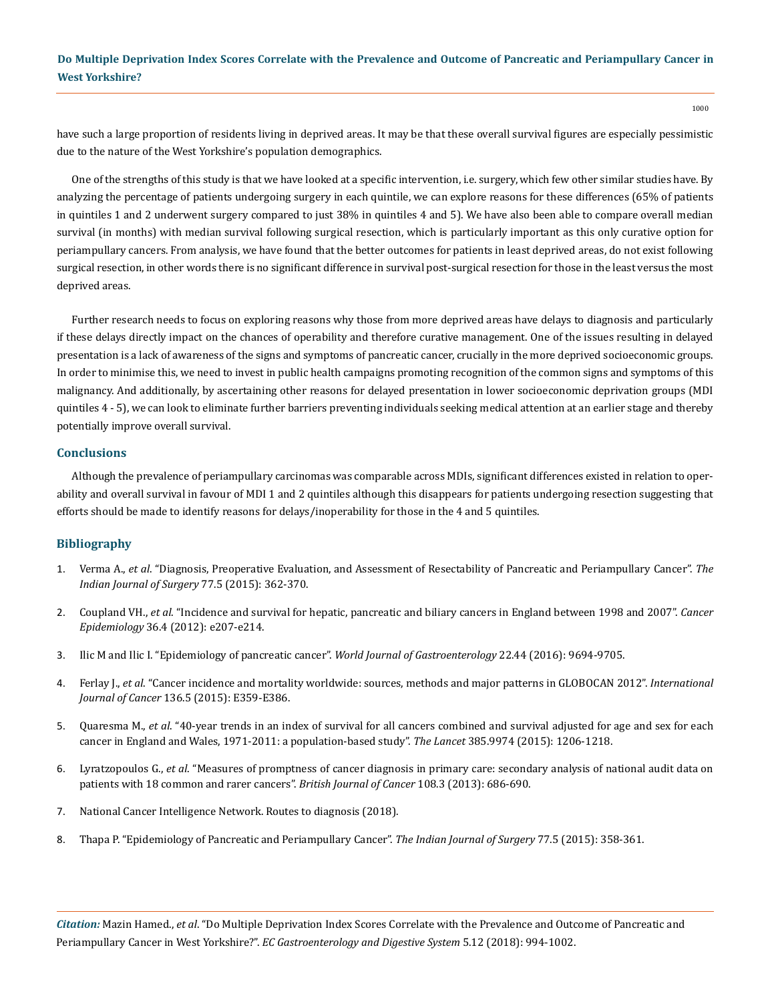have such a large proportion of residents living in deprived areas. It may be that these overall survival figures are especially pessimistic due to the nature of the West Yorkshire's population demographics.

One of the strengths of this study is that we have looked at a specific intervention, i.e. surgery, which few other similar studies have. By analyzing the percentage of patients undergoing surgery in each quintile, we can explore reasons for these differences (65% of patients in quintiles 1 and 2 underwent surgery compared to just 38% in quintiles 4 and 5). We have also been able to compare overall median survival (in months) with median survival following surgical resection, which is particularly important as this only curative option for periampullary cancers. From analysis, we have found that the better outcomes for patients in least deprived areas, do not exist following surgical resection, in other words there is no significant difference in survival post-surgical resection for those in the least versus the most deprived areas.

Further research needs to focus on exploring reasons why those from more deprived areas have delays to diagnosis and particularly if these delays directly impact on the chances of operability and therefore curative management. One of the issues resulting in delayed presentation is a lack of awareness of the signs and symptoms of pancreatic cancer, crucially in the more deprived socioeconomic groups. In order to minimise this, we need to invest in public health campaigns promoting recognition of the common signs and symptoms of this malignancy. And additionally, by ascertaining other reasons for delayed presentation in lower socioeconomic deprivation groups (MDI quintiles 4 - 5), we can look to eliminate further barriers preventing individuals seeking medical attention at an earlier stage and thereby potentially improve overall survival.

### **Conclusions**

Although the prevalence of periampullary carcinomas was comparable across MDIs, significant differences existed in relation to operability and overall survival in favour of MDI 1 and 2 quintiles although this disappears for patients undergoing resection suggesting that efforts should be made to identify reasons for delays/inoperability for those in the 4 and 5 quintiles.

### **Bibliography**

- 1. Verma A., *et al*[. "Diagnosis, Preoperative Evaluation, and Assessment of Resectability of Pancreatic and Periampullary Cancer".](https://www.ncbi.nlm.nih.gov/pubmed/26722198) *The [Indian Journal of Surgery](https://www.ncbi.nlm.nih.gov/pubmed/26722198)* 77.5 (2015): 362-370.
- 2. Coupland VH., *et al*[. "Incidence and survival for hepatic, pancreatic and biliary cancers in England between 1998 and 2007".](https://www.ncbi.nlm.nih.gov/pubmed/22534487) *Cancer Epidemiology* [36.4 \(2012\): e207-e214.](https://www.ncbi.nlm.nih.gov/pubmed/22534487)
- 3. [Ilic M and Ilic I. "Epidemiology of pancreatic cancer".](https://www.ncbi.nlm.nih.gov/pmc/articles/PMC5124974/) *World Journal of Gastroenterology* 22.44 (2016): 9694-9705.
- 4. Ferlay J., *et al*[. "Cancer incidence and mortality worldwide: sources, methods and major patterns in GLOBOCAN 2012".](https://www.ncbi.nlm.nih.gov/pubmed/25220842) *International Journal of Cancer* [136.5 \(2015\): E359-E386.](https://www.ncbi.nlm.nih.gov/pubmed/25220842)
- 5. Quaresma M., *et al*[. "40-year trends in an index of survival for all cancers combined and survival adjusted for age and sex for each](https://www.ncbi.nlm.nih.gov/pubmed/25479696)  [cancer in England and Wales, 1971-2011: a population-based study".](https://www.ncbi.nlm.nih.gov/pubmed/25479696) *The Lancet* 385.9974 (2015): 1206-1218.
- 6. Lyratzopoulos G., *et al*[. "Measures of promptness of cancer diagnosis in primary care: secondary analysis of national audit data on](https://www.ncbi.nlm.nih.gov/pubmed/23392082)  [patients with 18 common and rarer cancers".](https://www.ncbi.nlm.nih.gov/pubmed/23392082) *British Journal of Cancer* 108.3 (2013): 686-690.
- 7. [National Cancer Intelligence Network. Routes to diagnosis \(2018\).](http://www.ncin.org.uk/publications/routes_to_diagnosis)
- 8. [Thapa P. "Epidemiology of Pancreatic and Periampullary Cancer".](https://www.ncbi.nlm.nih.gov/pmc/articles/PMC4689716/) *The Indian Journal of Surgery* 77.5 (2015): 358-361.

*Citation:* Mazin Hamed., *et al*. "Do Multiple Deprivation Index Scores Correlate with the Prevalence and Outcome of Pancreatic and Periampullary Cancer in West Yorkshire?". *EC Gastroenterology and Digestive System* 5.12 (2018): 994-1002.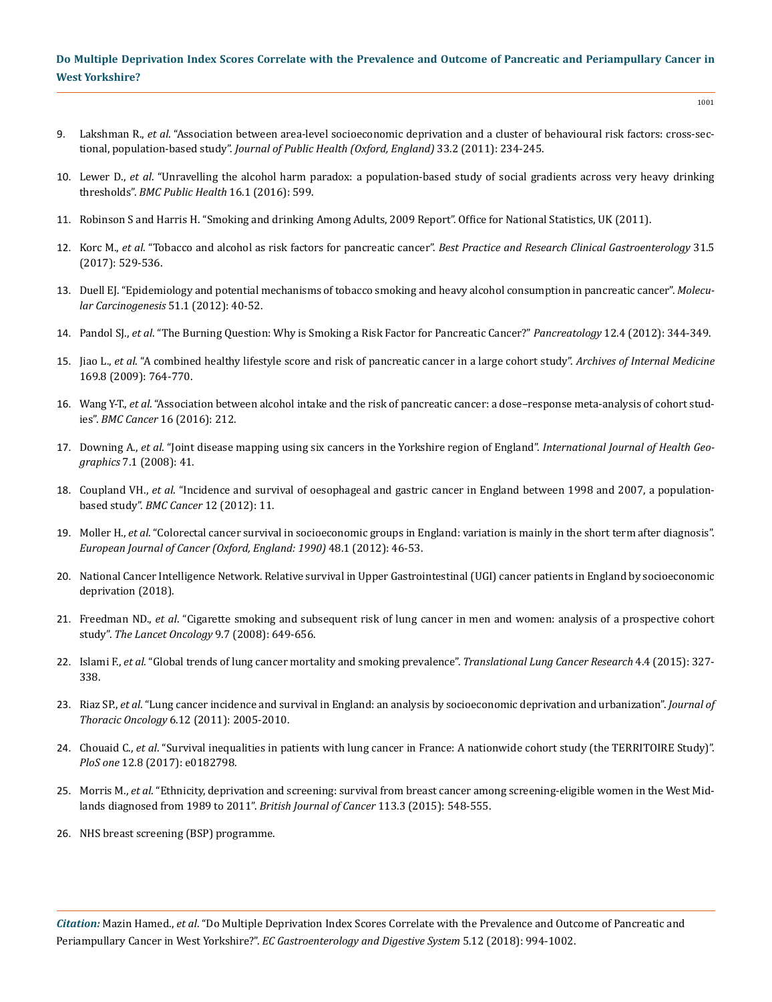- 9. Lakshman R., *et al*[. "Association between area-level socioeconomic deprivation and a cluster of behavioural risk factors: cross-sec](https://www.ncbi.nlm.nih.gov/pubmed/20884643)tional, population-based study". *[Journal of Public Health \(Oxford, England\)](https://www.ncbi.nlm.nih.gov/pubmed/20884643)* 33.2 (2011): 234-245.
- 10. Lewer D., *et al*[. "Unravelling the alcohol harm paradox: a population-based study of social gradients across very heavy drinking](https://bmcpublichealth.biomedcentral.com/articles/10.1186/s12889-016-3265-9)  thresholds". *[BMC Public Health](https://bmcpublichealth.biomedcentral.com/articles/10.1186/s12889-016-3265-9)* 16.1 (2016): 599.
- 11. [Robinson S and Harris H. "Smoking and drinking Among Adults, 2009 Report". Office for National Statistics, UK \(2011\).](http://doc.ukdataservice.ac.uk/doc/6716/mrdoc/pdf/2009_report.pdf)
- 12. Korc M., *et al*[. "Tobacco and alcohol as risk factors for pancreatic cancer".](https://www.ncbi.nlm.nih.gov/pubmed/29195672) *Best Practice and Research Clinical Gastroenterology* 31.5 [\(2017\): 529-536.](https://www.ncbi.nlm.nih.gov/pubmed/29195672)
- 13. [Duell EJ. "Epidemiology and potential mechanisms of tobacco smoking and heavy alcohol consumption in pancreatic cancer".](https://www.ncbi.nlm.nih.gov/pubmed/22162230) *Molecular Carcinogenesis* [51.1 \(2012\): 40-52.](https://www.ncbi.nlm.nih.gov/pubmed/22162230)
- 14. Pandol SJ., *et al*[. "The Burning Question: Why is Smoking a Risk Factor for Pancreatic Cancer?"](https://www.ncbi.nlm.nih.gov/pubmed/22898636) *Pancreatology* 12.4 (2012): 344-349.
- 15. Jiao L., *et al*[. "A combined healthy lifestyle score and risk of pancreatic cancer in a large cohort study".](https://www.ncbi.nlm.nih.gov/pmc/articles/PMC3498842/) *Archives of Internal Medicine*  [169.8 \(2009\): 764-770.](https://www.ncbi.nlm.nih.gov/pmc/articles/PMC3498842/)
- 16. Wang Y-T., *et al*[. "Association between alcohol intake and the risk of pancreatic cancer: a dose–response meta-analysis of cohort stud](https://www.ncbi.nlm.nih.gov/pmc/articles/PMC4788838/)ies". *BMC Cancer* [16 \(2016\): 212.](https://www.ncbi.nlm.nih.gov/pmc/articles/PMC4788838/)
- 17. Downing A., *et al*[. "Joint disease mapping using six cancers in the Yorkshire region of England".](https://www.ncbi.nlm.nih.gov/pubmed/18662387) *International Journal of Health Geographics* [7.1 \(2008\): 41.](https://www.ncbi.nlm.nih.gov/pubmed/18662387)
- 18. Coupland VH., *et al*[. "Incidence and survival of oesophageal and gastric cancer in England between 1998 and 2007, a population](https://www.ncbi.nlm.nih.gov/pubmed/22239958)based study". *BMC Cancer* [12 \(2012\): 11.](https://www.ncbi.nlm.nih.gov/pubmed/22239958)
- 19. Moller H., *et al*[. "Colorectal cancer survival in socioeconomic groups in England: variation is mainly in the short term after diagnosis".](https://www.ncbi.nlm.nih.gov/pubmed/21676610)  *[European Journal of Cancer \(Oxford, England: 1990\)](https://www.ncbi.nlm.nih.gov/pubmed/21676610)* 48.1 (2012): 46-53.
- 20. [National Cancer Intelligence Network. Relative survival in Upper Gastrointestinal \(UGI\) cancer patients in England by socioeconomic](http://www.ncin.org.uk/view?rid=3023)  [deprivation \(2018\).](http://www.ncin.org.uk/view?rid=3023)
- 21. Freedman ND., *et al*[. "Cigarette smoking and subsequent risk of lung cancer in men and women: analysis of a prospective cohort](https://www.ncbi.nlm.nih.gov/pubmed/18556244)  study". *[The Lancet Oncology](https://www.ncbi.nlm.nih.gov/pubmed/18556244)* 9.7 (2008): 649-656.
- 22. Islami F., *et al*[. "Global trends of lung cancer mortality and smoking prevalence".](https://www.ncbi.nlm.nih.gov/pmc/articles/PMC4549470/) *Translational Lung Cancer Research* 4.4 (2015): 327- [338.](https://www.ncbi.nlm.nih.gov/pmc/articles/PMC4549470/)
- 23. Riaz SP., *et al*[. "Lung cancer incidence and survival in England: an analysis by socioeconomic deprivation and urbanization".](https://www.ncbi.nlm.nih.gov/pubmed/21892107) *Journal of Thoracic Oncology* [6.12 \(2011\): 2005-2010.](https://www.ncbi.nlm.nih.gov/pubmed/21892107)
- 24. Chouaid C., *et al*[. "Survival inequalities in patients with lung cancer in France: A nationwide cohort study \(the TERRITOIRE Study\)".](https://www.ncbi.nlm.nih.gov/pubmed/28841679)  *PloS one* [12.8 \(2017\): e0182798.](https://www.ncbi.nlm.nih.gov/pubmed/28841679)
- 25. Morris M., *et al*[. "Ethnicity, deprivation and screening: survival from breast cancer among screening-eligible women in the West Mid](https://www.ncbi.nlm.nih.gov/pubmed/26079301)[lands diagnosed from 1989 to 2011".](https://www.ncbi.nlm.nih.gov/pubmed/26079301) *British Journal of Cancer* 113.3 (2015): 548-555.
- 26. [NHS breast screening \(BSP\) programme.](https://www.gov.uk/topic/population-screening-programmes/breast)

*Citation:* Mazin Hamed., *et al*. "Do Multiple Deprivation Index Scores Correlate with the Prevalence and Outcome of Pancreatic and Periampullary Cancer in West Yorkshire?". *EC Gastroenterology and Digestive System* 5.12 (2018): 994-1002.